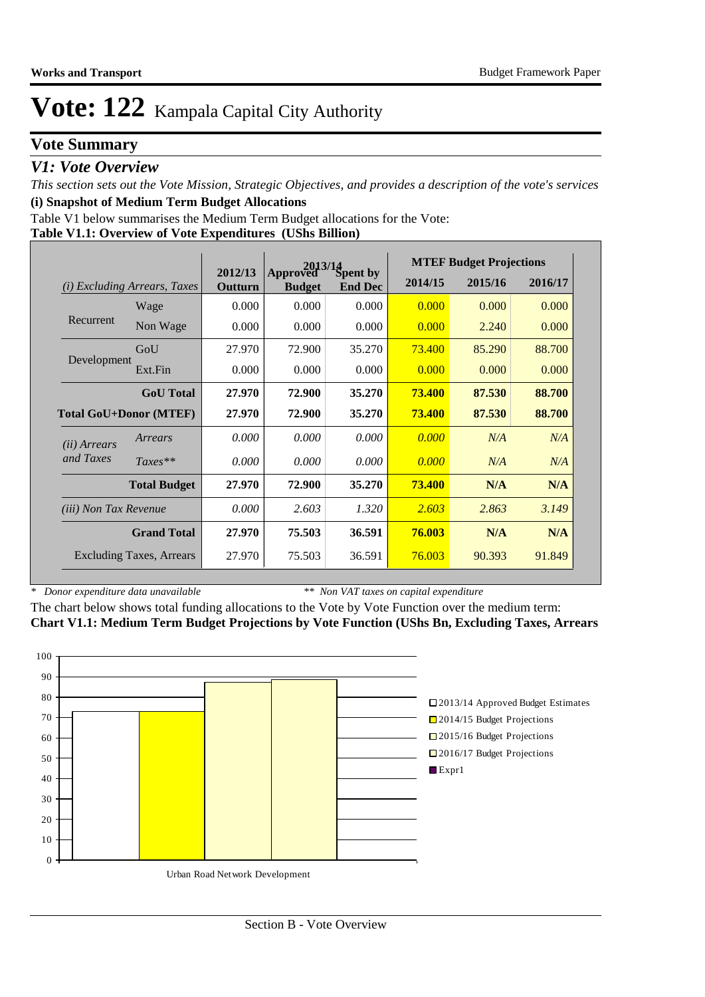## **Vote Summary**

### *V1: Vote Overview*

*This section sets out the Vote Mission, Strategic Objectives, and provides a description of the vote's services* **(i) Snapshot of Medium Term Budget Allocations** 

Table V1 below summarises the Medium Term Budget allocations for the Vote:

#### **Table V1.1: Overview of Vote Expenditures (UShs Billion)**

|                               |                                 |                    | 2013/14                   |                            | <b>MTEF Budget Projections</b> |         |         |  |
|-------------------------------|---------------------------------|--------------------|---------------------------|----------------------------|--------------------------------|---------|---------|--|
| (i)                           | <b>Excluding Arrears, Taxes</b> | 2012/13<br>Outturn | Approved<br><b>Budget</b> | Spent by<br><b>End Dec</b> | 2014/15                        | 2015/16 | 2016/17 |  |
|                               | Wage                            | 0.000              | 0.000                     | 0.000                      | 0.000                          | 0.000   | 0.000   |  |
| Recurrent                     | Non Wage                        | 0.000              | 0.000                     | 0.000                      | 0.000                          | 2.240   | 0.000   |  |
| Development                   | GoU                             | 27.970             | 72.900                    | 35.270                     | 73.400                         | 85.290  | 88.700  |  |
|                               | Ext.Fin                         | 0.000              | 0.000                     | 0.000                      | 0.000                          | 0.000   | 0.000   |  |
|                               | <b>GoU</b> Total                | 27.970             | 72.900                    | 35.270                     | 73.400                         | 87.530  | 88.700  |  |
| <b>Total GoU+Donor (MTEF)</b> |                                 | 27.970             | 72.900                    | 35.270                     | <b>73.400</b>                  | 87.530  | 88.700  |  |
| ( <i>ii</i> ) Arrears         | Arrears                         | 0.000              | 0.000                     | 0.000                      | 0.000                          | N/A     | N/A     |  |
| and Taxes                     | $Taxes**$                       | 0.000              | 0.000                     | 0.000                      | 0.000                          | N/A     | N/A     |  |
|                               | <b>Total Budget</b>             | 27.970             | 72.900                    | 35.270                     | 73.400                         | N/A     | N/A     |  |
| <i>(iii)</i> Non Tax Revenue  |                                 | 0.000              | 2.603                     | 1.320                      | 2.603                          | 2.863   | 3.149   |  |
| <b>Grand Total</b>            |                                 | 27.970             | 75.503                    | 36.591                     | 76.003                         | N/A     | N/A     |  |
|                               | <b>Excluding Taxes, Arrears</b> | 27.970             | 75.503                    | 36.591                     | 76.003                         | 90.393  | 91.849  |  |

*\* Donor expenditure data unavailable*

*\*\* Non VAT taxes on capital expenditure*

The chart below shows total funding allocations to the Vote by Vote Function over the medium term: **Chart V1.1: Medium Term Budget Projections by Vote Function (UShs Bn, Excluding Taxes, Arrears**

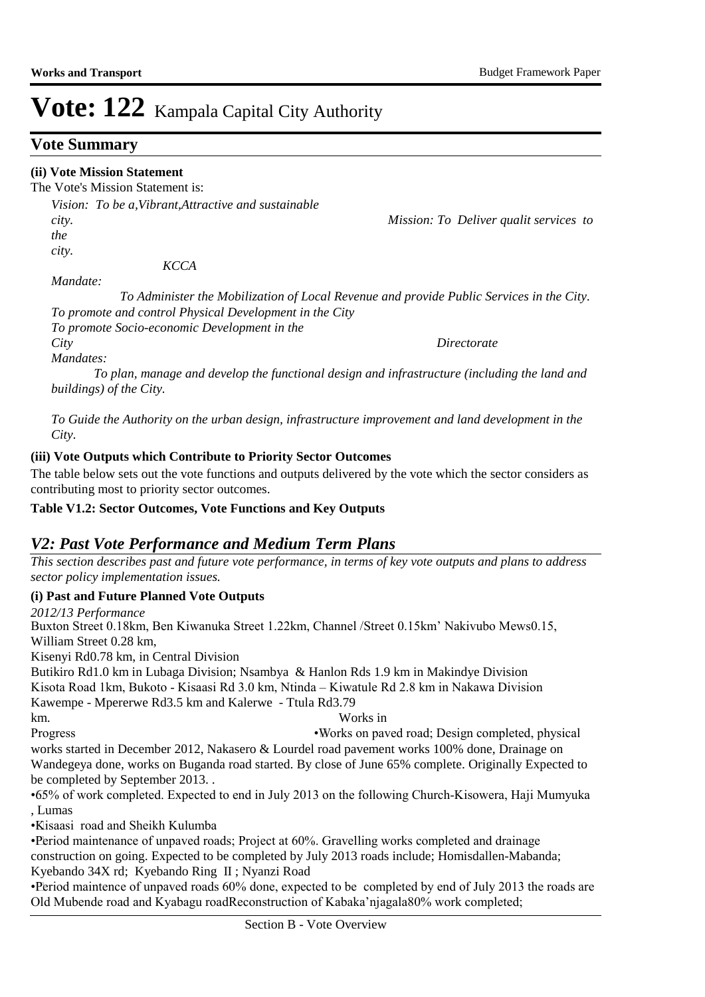## **Vote Summary**

### **(ii) Vote Mission Statement**

The Vote's Mission Statement is:

*Vision: To be a,Vibrant,Attractive and sustainable city. Mission: To Deliver qualit services to the city.* 

 *KCCA* 

*Mandate:* 

 *To Administer the Mobilization of Local Revenue and provide Public Services in the City. To promote and control Physical Development in the City To promote Socio-economic Development in the* 

*City Directorate* 

*Mandates:* 

 *To plan, manage and develop the functional design and infrastructure (including the land and buildings) of the City.*

*To Guide the Authority on the urban design, infrastructure improvement and land development in the City.*

### **(iii) Vote Outputs which Contribute to Priority Sector Outcomes**

The table below sets out the vote functions and outputs delivered by the vote which the sector considers as contributing most to priority sector outcomes.

**Table V1.2: Sector Outcomes, Vote Functions and Key Outputs** 

## *V2: Past Vote Performance and Medium Term Plans*

*This section describes past and future vote performance, in terms of key vote outputs and plans to address sector policy implementation issues.* 

#### **(i) Past and Future Planned Vote Outputs**

*2012/13 Performance*

Buxton Street 0.18km, Ben Kiwanuka Street 1.22km, Channel /Street 0.15km' Nakivubo Mews0.15, William Street 0.28 km, Kisenyi Rd0.78 km, in Central Division Butikiro Rd1.0 km in Lubaga Division; Nsambya & Hanlon Rds 1.9 km in Makindye Division Kisota Road 1km, Bukoto - Kisaasi Rd 3.0 km, Ntinda – Kiwatule Rd 2.8 km in Nakawa Division Kawempe - Mpererwe Rd3.5 km and Kalerwe - Ttula Rd3.79 km. Works in Progress • Works on paved road; Design completed, physical works started in December 2012, Nakasero & Lourdel road pavement works 100% done, Drainage on Wandegeya done, works on Buganda road started. By close of June 65% complete. Originally Expected to be completed by September 2013. . • 65% of work completed. Expected to end in July 2013 on the following Church-Kisowera, Haji Mumyuka

, Lumas

• Kisaasi road and Sheikh Kulumba

• Period maintenance of unpaved roads; Project at 60%. Gravelling works completed and drainage construction on going. Expected to be completed by July 2013 roads include; Homisdallen-Mabanda; Kyebando 34X rd; Kyebando Ring II ; Nyanzi Road

• Period maintence of unpaved roads 60% done, expected to be completed by end of July 2013 the roads are Old Mubende road and Kyabagu roadReconstruction of Kabaka'njagala80% work completed;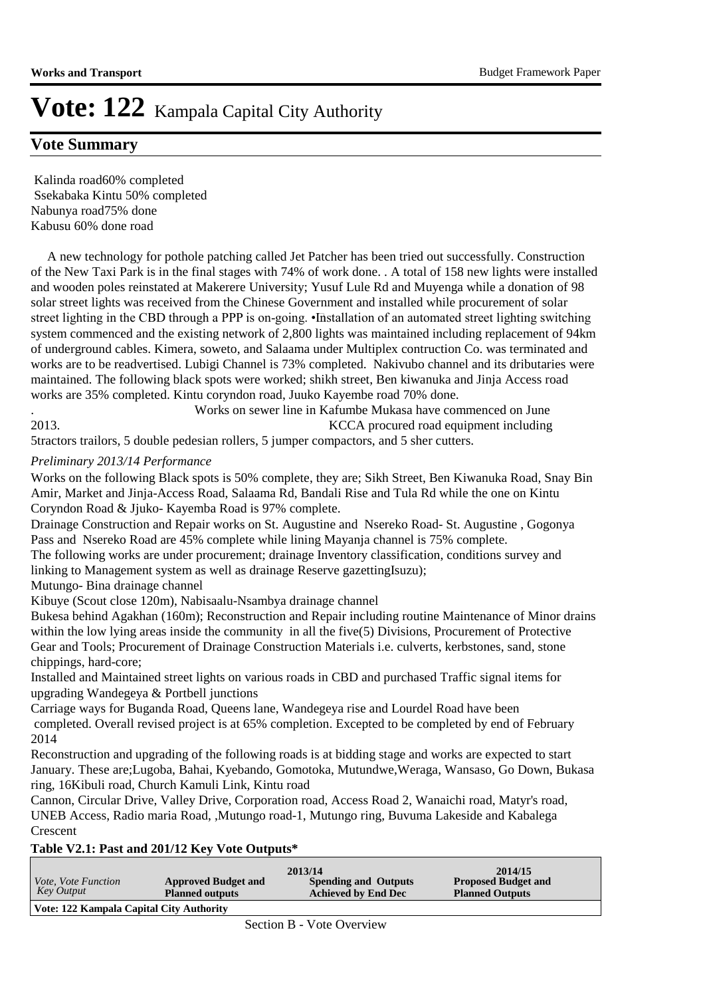### **Vote Summary**

 Kalinda road60% completed Ssekabaka Kintu 50% completed Nabunya road75% done Kabusu 60% done road

 A new technology for pothole patching called Jet Patcher has been tried out successfully. Construction of the New Taxi Park is in the final stages with 74% of work done. . A total of 158 new lights were installed and wooden poles reinstated at Makerere University; Yusuf Lule Rd and Muyenga while a donation of 98 solar street lights was received from the Chinese Government and installed while procurement of solar street lighting in the CBD through a PPP is on-going. • Installation of an automated street lighting switching system commenced and the existing network of 2,800 lights was maintained including replacement of 94km of underground cables. Kimera, soweto, and Salaama under Multiplex contruction Co. was terminated and works are to be readvertised. Lubigi Channel is 73% completed. Nakivubo channel and its dributaries were maintained. The following black spots were worked; shikh street, Ben kiwanuka and Jinja Access road works are 35% completed. Kintu coryndon road, Juuko Kayembe road 70% done.

. Works on sewer line in Kafumbe Mukasa have commenced on June 2013. KCCA procured road equipment including

5tractors trailors, 5 double pedesian rollers, 5 jumper compactors, and 5 sher cutters.

#### *Preliminary 2013/14 Performance*

Works on the following Black spots is 50% complete, they are; Sikh Street, Ben Kiwanuka Road, Snay Bin Amir, Market and Jinja-Access Road, Salaama Rd, Bandali Rise and Tula Rd while the one on Kintu Coryndon Road & Jjuko- Kayemba Road is 97% complete.

Drainage Construction and Repair works on St. Augustine and Nsereko Road- St. Augustine , Gogonya Pass and Nsereko Road are 45% complete while lining Mayanja channel is 75% complete.

The following works are under procurement; drainage Inventory classification, conditions survey and linking to Management system as well as drainage Reserve gazettingIsuzu);

Mutungo- Bina drainage channel

Kibuye (Scout close 120m), Nabisaalu-Nsambya drainage channel

Bukesa behind Agakhan (160m); Reconstruction and Repair including routine Maintenance of Minor drains within the low lying areas inside the community in all the five(5) Divisions, Procurement of Protective Gear and Tools; Procurement of Drainage Construction Materials i.e. culverts, kerbstones, sand, stone chippings, hard-core;

Installed and Maintained street lights on various roads in CBD and purchased Traffic signal items for upgrading Wandegeya & Portbell junctions

Carriage ways for Buganda Road, Queens lane, Wandegeya rise and Lourdel Road have been completed. Overall revised project is at 65% completion. Excepted to be completed by end of February 2014

Reconstruction and upgrading of the following roads is at bidding stage and works are expected to start January. These are;Lugoba, Bahai, Kyebando, Gomotoka, Mutundwe,Weraga, Wansaso, Go Down, Bukasa ring, 16Kibuli road, Church Kamuli Link, Kintu road

Cannon, Circular Drive, Valley Drive, Corporation road, Access Road 2, Wanaichi road, Matyr's road, UNEB Access, Radio maria Road, ,Mutungo road-1, Mutungo ring, Buvuma Lakeside and Kabalega Crescent

#### **Table V2.1: Past and 201/12 Key Vote Outputs\***

| <i>Vote, Vote Function</i><br>Key Output | <b>Approved Budget and</b><br><b>Planned outputs</b> | 2013/14<br><b>Spending and Outputs</b><br><b>Achieved by End Dec</b> | 2014/15<br><b>Proposed Budget and</b><br><b>Planned Outputs</b> |
|------------------------------------------|------------------------------------------------------|----------------------------------------------------------------------|-----------------------------------------------------------------|
| Vote: 122 Kampala Capital City Authority |                                                      |                                                                      |                                                                 |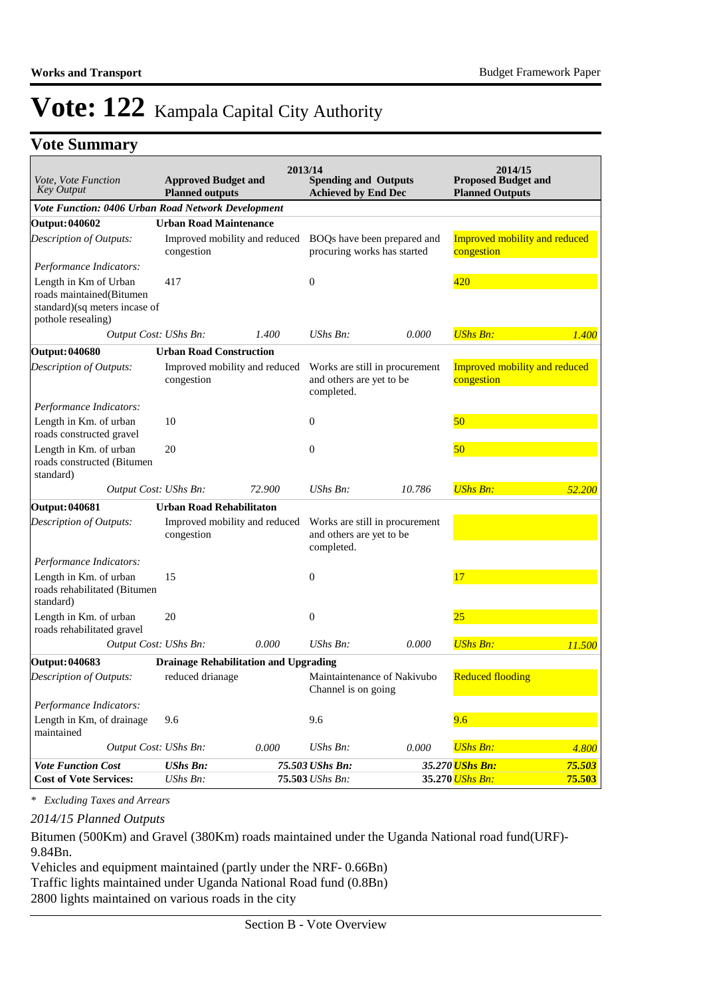## **Vote Summary**

| Vote, Vote Function                                                                                      |                                                      |        | 2013/14                                                                  |                                | 2014/15                                              |        |
|----------------------------------------------------------------------------------------------------------|------------------------------------------------------|--------|--------------------------------------------------------------------------|--------------------------------|------------------------------------------------------|--------|
| <b>Key Output</b>                                                                                        | <b>Approved Budget and</b><br><b>Planned outputs</b> |        | <b>Spending and Outputs</b><br><b>Achieved by End Dec</b>                |                                | <b>Proposed Budget and</b><br><b>Planned Outputs</b> |        |
| Vote Function: 0406 Urban Road Network Development                                                       |                                                      |        |                                                                          |                                |                                                      |        |
| Output: 040602                                                                                           | <b>Urban Road Maintenance</b>                        |        |                                                                          |                                |                                                      |        |
| Description of Outputs:                                                                                  | Improved mobility and reduced<br>congestion          |        | BOQs have been prepared and<br>procuring works has started               |                                | <b>Improved mobility and reduced</b><br>congestion   |        |
| Performance Indicators:                                                                                  |                                                      |        |                                                                          |                                |                                                      |        |
| Length in Km of Urban<br>roads maintained(Bitumen<br>standard)(sq meters incase of<br>pothole resealing) | 417                                                  |        | $\boldsymbol{0}$                                                         |                                | 420                                                  |        |
| Output Cost: UShs Bn:                                                                                    |                                                      | 1.400  | UShs Bn:                                                                 | 0.000                          | <b>UShs Bn:</b>                                      | 1.400  |
| <b>Output: 040680</b>                                                                                    | <b>Urban Road Construction</b>                       |        |                                                                          |                                |                                                      |        |
| Description of Outputs:                                                                                  | Improved mobility and reduced<br>congestion          |        | Works are still in procurement<br>and others are yet to be<br>completed. |                                | <b>Improved mobility and reduced</b><br>congestion   |        |
| Performance Indicators:                                                                                  |                                                      |        |                                                                          |                                |                                                      |        |
| Length in Km. of urban<br>roads constructed gravel                                                       | 10                                                   |        | $\boldsymbol{0}$                                                         |                                | 50                                                   |        |
| Length in Km. of urban<br>roads constructed (Bitumen<br>standard)                                        | 20                                                   |        | $\boldsymbol{0}$                                                         |                                | 50                                                   |        |
| Output Cost: UShs Bn:                                                                                    |                                                      | 72.900 | $UShs Bn$ :                                                              | 10.786                         | <b>UShs Bn:</b>                                      | 52.200 |
| Output: 040681                                                                                           | <b>Urban Road Rehabilitaton</b>                      |        |                                                                          |                                |                                                      |        |
| Description of Outputs:                                                                                  | Improved mobility and reduced<br>congestion          |        | and others are yet to be<br>completed.                                   | Works are still in procurement |                                                      |        |
| Performance Indicators:                                                                                  |                                                      |        |                                                                          |                                |                                                      |        |
| Length in Km. of urban<br>roads rehabilitated (Bitumen<br>standard)                                      | 15                                                   |        | $\boldsymbol{0}$                                                         |                                | 17                                                   |        |
| Length in Km. of urban<br>roads rehabilitated gravel                                                     | 20                                                   |        | $\boldsymbol{0}$                                                         |                                | 25                                                   |        |
| Output Cost: UShs Bn:                                                                                    |                                                      | 0.000  | UShs Bn:                                                                 | 0.000                          | <b>UShs Bn:</b>                                      | 11.500 |
| Output: 040683                                                                                           | <b>Drainage Rehabilitation and Upgrading</b>         |        |                                                                          |                                |                                                      |        |
| Description of Outputs:                                                                                  | reduced drianage                                     |        | Maintaintenance of Nakivubo<br>Channel is on going                       |                                | <b>Reduced flooding</b>                              |        |
| Performance Indicators:                                                                                  |                                                      |        |                                                                          |                                |                                                      |        |
| Length in Km, of drainage<br>maintained                                                                  | 9.6                                                  |        | 9.6                                                                      |                                | 9.6                                                  |        |
| Output Cost: UShs Bn:                                                                                    |                                                      | 0.000  | UShs Bn:                                                                 | 0.000                          | <b>UShs Bn:</b>                                      | 4.800  |
| <b>Vote Function Cost</b>                                                                                | <b>UShs Bn:</b>                                      |        | 75.503 UShs Bn:                                                          |                                | 35.270 <mark>UShs Bn:</mark>                         | 75.503 |
| <b>Cost of Vote Services:</b>                                                                            | UShs Bn:                                             |        | 75.503 UShs Bn:                                                          |                                | 35.270 UShs Bn:                                      | 75.503 |

*\* Excluding Taxes and Arrears*

*2014/15 Planned Outputs*

Bitumen (500Km) and Gravel (380Km) roads maintained under the Uganda National road fund(URF)- 9.84Bn.

Vehicles and equipment maintained (partly under the NRF- 0.66Bn) Traffic lights maintained under Uganda National Road fund (0.8Bn) 2800 lights maintained on various roads in the city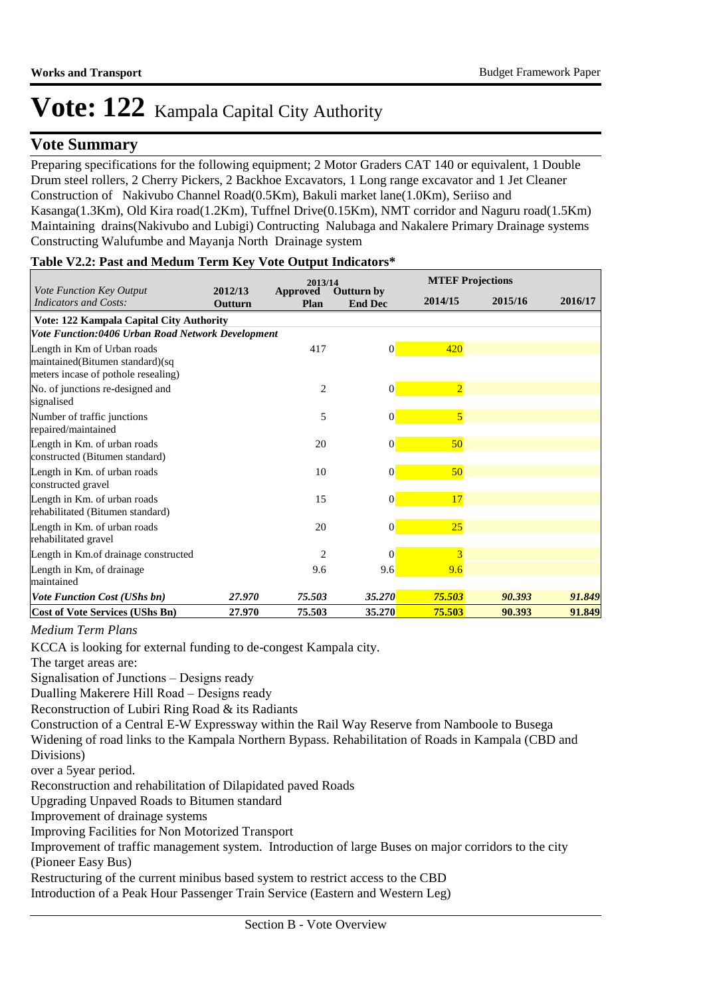## **Vote Summary**

Preparing specifications for the following equipment; 2 Motor Graders CAT 140 or equivalent, 1 Double Drum steel rollers, 2 Cherry Pickers, 2 Backhoe Excavators, 1 Long range excavator and 1 Jet Cleaner Construction of Nakivubo Channel Road(0.5Km), Bakuli market lane(1.0Km), Seriiso and Kasanga(1.3Km), Old Kira road(1.2Km), Tuffnel Drive(0.15Km), NMT corridor and Naguru road(1.5Km) Maintaining drains(Nakivubo and Lubigi) Contructing Nalubaga and Nakalere Primary Drainage systems Constructing Walufumbe and Mayanja North Drainage system

#### **Table V2.2: Past and Medum Term Key Vote Output Indicators\***

|                                                                                                       |                    | 2013/14          |                                     |                 | <b>MTEF Projections</b> |         |  |  |
|-------------------------------------------------------------------------------------------------------|--------------------|------------------|-------------------------------------|-----------------|-------------------------|---------|--|--|
| <i>Vote Function Key Output</i><br><b>Indicators and Costs:</b>                                       | 2012/13<br>Outturn | Approved<br>Plan | <b>Outturn by</b><br><b>End Dec</b> | 2014/15         | 2015/16                 | 2016/17 |  |  |
| <b>Vote: 122 Kampala Capital City Authority</b>                                                       |                    |                  |                                     |                 |                         |         |  |  |
| Vote Function:0406 Urban Road Network Development                                                     |                    |                  |                                     |                 |                         |         |  |  |
| Length in Km of Urban roads<br>maintained(Bitumen standard)(sq<br>meters incase of pothole resealing) |                    | 417              | $\vert 0 \vert$                     | 420             |                         |         |  |  |
| No. of junctions re-designed and<br>signalised                                                        |                    | $\overline{c}$   | $\vert 0 \vert$                     | $\overline{2}$  |                         |         |  |  |
| Number of traffic junctions<br>repaired/maintained                                                    |                    | 5                | $\vert 0 \vert$                     | $\overline{5}$  |                         |         |  |  |
| Length in Km. of urban roads<br>constructed (Bitumen standard)                                        |                    | 20               | $\vert 0 \vert$                     | 50 <sub>o</sub> |                         |         |  |  |
| Length in Km. of urban roads<br>constructed gravel                                                    |                    | 10               | $\vert 0 \vert$                     | 50 <sub>o</sub> |                         |         |  |  |
| Length in Km. of urban roads<br>rehabilitated (Bitumen standard)                                      |                    | 15               | $\vert 0 \vert$                     | 17              |                         |         |  |  |
| Length in Km. of urban roads<br>rehabilitated gravel                                                  |                    | 20               | $\vert 0 \vert$                     | 25              |                         |         |  |  |
| Length in Km. of drainage constructed                                                                 |                    | $\overline{2}$   | $\Omega$                            | $\overline{3}$  |                         |         |  |  |
| Length in Km, of drainage<br>maintained                                                               |                    | 9.6              | 9.6                                 | 9.6             |                         |         |  |  |
| <b>Vote Function Cost (UShs bn)</b>                                                                   | 27.970             | 75.503           | 35.270                              | 75.503          | 90.393                  | 91.849  |  |  |
| <b>Cost of Vote Services (UShs Bn)</b>                                                                | 27.970             | 75.503           | 35.270                              | 75.503          | 90.393                  | 91.849  |  |  |

### *Medium Term Plans*

KCCA is looking for external funding to de-congest Kampala city.

The target areas are:

Signalisation of Junctions – Designs ready

Dualling Makerere Hill Road – Designs ready

Reconstruction of Lubiri Ring Road & its Radiants

Construction of a Central E-W Expressway within the Rail Way Reserve from Namboole to Busega Widening of road links to the Kampala Northern Bypass. Rehabilitation of Roads in Kampala (CBD and Divisions)

over a 5year period.

Reconstruction and rehabilitation of Dilapidated paved Roads

Upgrading Unpaved Roads to Bitumen standard

Improvement of drainage systems

Improving Facilities for Non Motorized Transport

Improvement of traffic management system. Introduction of large Buses on major corridors to the city (Pioneer Easy Bus)

Restructuring of the current minibus based system to restrict access to the CBD

Introduction of a Peak Hour Passenger Train Service (Eastern and Western Leg)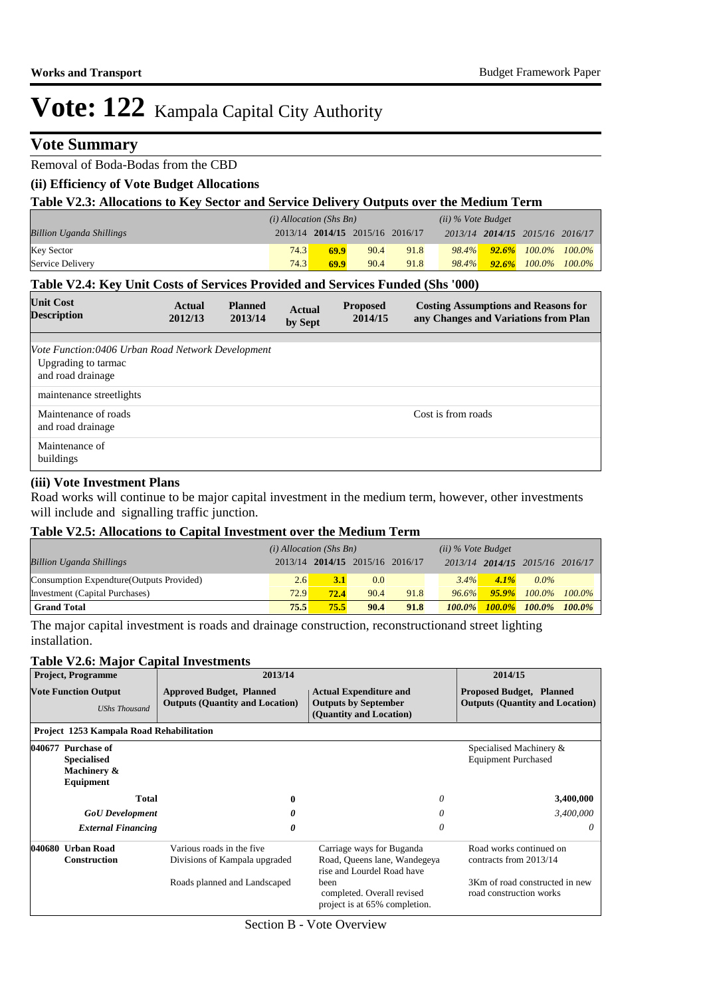## **Vote Summary**

## Removal of Boda-Bodas from the CBD

## **(ii) Efficiency of Vote Budget Allocations**

| Table V2.3: Allocations to Key Sector and Service Delivery Outputs over the Medium Term |  |
|-----------------------------------------------------------------------------------------|--|
|-----------------------------------------------------------------------------------------|--|

|                                 | $(i)$ Allocation (Shs Bn) |                                 |      | $(ii)$ % Vote Budget |       |                                 |                                 |
|---------------------------------|---------------------------|---------------------------------|------|----------------------|-------|---------------------------------|---------------------------------|
| <b>Billion Uganda Shillings</b> |                           | 2013/14 2014/15 2015/16 2016/17 |      |                      |       | 2013/14 2014/15 2015/16 2016/17 |                                 |
| <b>Key Sector</b>               | 74.3                      | 69.9                            | 90.4 | 91.8                 | 98.4% |                                 | $\frac{92.6\%}{100.0\%}$ 100.0% |
| Service Delivery                | 74.3                      | 69.9                            | 90.4 | 91.8                 | 98.4% | $92.6\%$ $100.0\%$              | $100.0\%$                       |

#### **Table V2.4: Key Unit Costs of Services Provided and Services Funded (Shs '000)**

| <b>Unit Cost</b><br><b>Description</b>                                                        | Actual<br>2012/13 | <b>Planned</b><br>2013/14 | <b>Actual</b><br>by Sept | <b>Proposed</b><br>2014/15 | <b>Costing Assumptions and Reasons for</b><br>any Changes and Variations from Plan |
|-----------------------------------------------------------------------------------------------|-------------------|---------------------------|--------------------------|----------------------------|------------------------------------------------------------------------------------|
|                                                                                               |                   |                           |                          |                            |                                                                                    |
| Vote Function:0406 Urban Road Network Development<br>Upgrading to tarmac<br>and road drainage |                   |                           |                          |                            |                                                                                    |
| maintenance streetlights                                                                      |                   |                           |                          |                            |                                                                                    |
| Maintenance of roads<br>and road drainage                                                     |                   |                           |                          |                            | Cost is from roads                                                                 |
| Maintenance of<br>buildings                                                                   |                   |                           |                          |                            |                                                                                    |

#### **(iii) Vote Investment Plans**

Road works will continue to be major capital investment in the medium term, however, other investments will include and signalling traffic junction.

#### **Table V2.5: Allocations to Capital Investment over the Medium Term**

|                                           | $(i)$ Allocation (Shs Bn) |                                 |      |      | $(ii)$ % Vote Budget |           |                                 |           |
|-------------------------------------------|---------------------------|---------------------------------|------|------|----------------------|-----------|---------------------------------|-----------|
| <b>Billion Uganda Shillings</b>           |                           | 2013/14 2014/15 2015/16 2016/17 |      |      |                      |           | 2013/14 2014/15 2015/16 2016/17 |           |
| Consumption Expendture (Outputs Provided) | 2.6                       | 3.1                             | 0.0  |      | $3.4\%$              | $4.1\%$   | $0.0\%$                         |           |
| Investment (Capital Purchases)            | 72.9                      | 72.4                            | 90.4 | 91.8 | $96.6\%$             |           | $95.9\%$ 100.0% 100.0%          |           |
| <b>Grand Total</b>                        | 75.5                      | 75.5                            | 90.4 | 91.8 | $100.0\%$            | $100.0\%$ | $100.0\%$                       | $100.0\%$ |

The major capital investment is roads and drainage construction, reconstructionand street lighting installation.

#### **Table V2.6: Major Capital Investments**

|        | <b>Project, Programme</b>                                            | 2013/14                                                                                    | 2014/15                                                                                                                                                        |                                                                                                                |
|--------|----------------------------------------------------------------------|--------------------------------------------------------------------------------------------|----------------------------------------------------------------------------------------------------------------------------------------------------------------|----------------------------------------------------------------------------------------------------------------|
|        | <b>Vote Function Output</b><br><b>UShs Thousand</b>                  | <b>Approved Budget, Planned</b><br><b>Outputs (Quantity and Location)</b>                  | <b>Actual Expenditure and</b><br><b>Outputs by September</b><br>(Quantity and Location)                                                                        | <b>Proposed Budget, Planned</b><br><b>Outputs (Quantity and Location)</b>                                      |
|        | Project 1253 Kampala Road Rehabilitation                             |                                                                                            |                                                                                                                                                                |                                                                                                                |
|        | 040677 Purchase of<br><b>Specialised</b><br>Machinery &<br>Equipment |                                                                                            |                                                                                                                                                                | Specialised Machinery &<br><b>Equipment Purchased</b>                                                          |
|        | Total                                                                | 0                                                                                          | 0                                                                                                                                                              | 3,400,000                                                                                                      |
|        | <b>GoU</b> Development                                               | 0                                                                                          | 0                                                                                                                                                              | 3,400,000                                                                                                      |
|        | <b>External Financing</b>                                            | 0                                                                                          | 0                                                                                                                                                              | 0                                                                                                              |
| 040680 | <b>Urban Road</b><br><b>Construction</b>                             | Various roads in the five<br>Divisions of Kampala upgraded<br>Roads planned and Landscaped | Carriage ways for Buganda<br>Road, Queens lane, Wandegeya<br>rise and Lourdel Road have<br>been<br>completed. Overall revised<br>project is at 65% completion. | Road works continued on<br>contracts from 2013/14<br>3Km of road constructed in new<br>road construction works |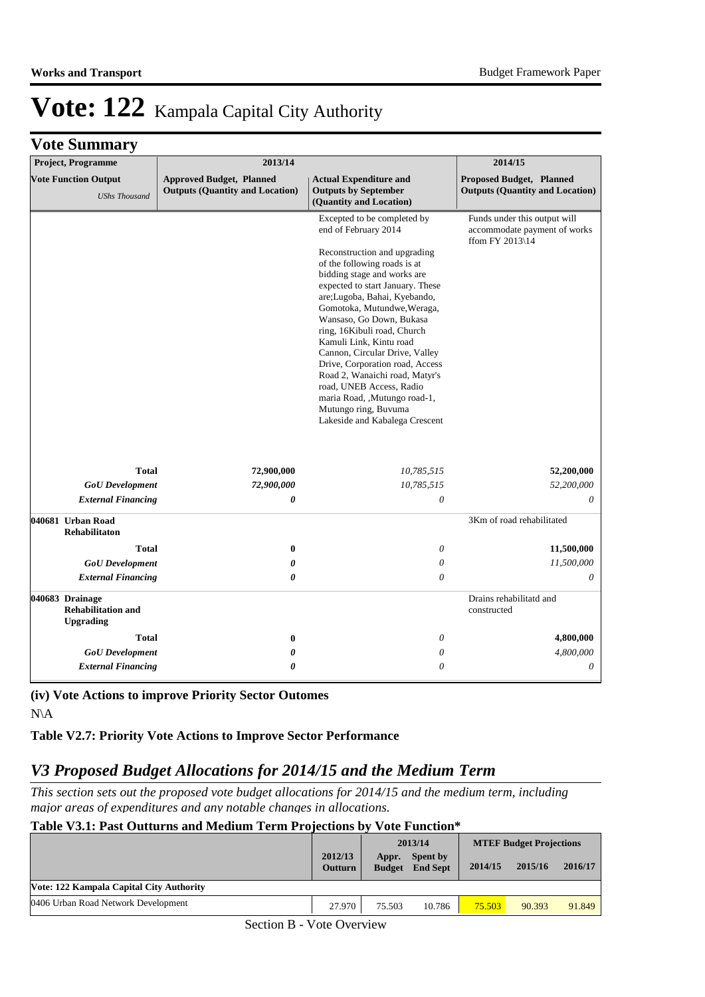## **Vote Summary**

| Project, Programme                                               |              | 2013/14                                                                   |                                                                                                                                                                                                                                                                                                                                                                                                                                                                                                                                                                          | 2014/15                                                                                      |
|------------------------------------------------------------------|--------------|---------------------------------------------------------------------------|--------------------------------------------------------------------------------------------------------------------------------------------------------------------------------------------------------------------------------------------------------------------------------------------------------------------------------------------------------------------------------------------------------------------------------------------------------------------------------------------------------------------------------------------------------------------------|----------------------------------------------------------------------------------------------|
| <b>Vote Function Output</b><br><b>UShs Thousand</b>              |              | <b>Approved Budget, Planned</b><br><b>Outputs (Quantity and Location)</b> | <b>Actual Expenditure and</b><br><b>Outputs by September</b><br>(Quantity and Location)                                                                                                                                                                                                                                                                                                                                                                                                                                                                                  | Proposed Budget, Planned<br><b>Outputs (Quantity and Location)</b>                           |
|                                                                  |              |                                                                           | Excepted to be completed by<br>end of February 2014<br>Reconstruction and upgrading<br>of the following roads is at<br>bidding stage and works are<br>expected to start January. These<br>are;Lugoba, Bahai, Kyebando,<br>Gomotoka, Mutundwe, Weraga,<br>Wansaso, Go Down, Bukasa<br>ring, 16Kibuli road, Church<br>Kamuli Link, Kintu road<br>Cannon, Circular Drive, Valley<br>Drive, Corporation road, Access<br>Road 2, Wanaichi road, Matyr's<br>road, UNEB Access, Radio<br>maria Road, ,Mutungo road-1,<br>Mutungo ring, Buvuma<br>Lakeside and Kabalega Crescent | Funds under this output will<br>accommodate payment of works<br>ffom FY 2013 $\backslash$ 14 |
|                                                                  | <b>Total</b> | 72,900,000                                                                | 10,785,515                                                                                                                                                                                                                                                                                                                                                                                                                                                                                                                                                               | 52,200,000                                                                                   |
| <b>GoU</b> Development                                           |              | 72,900,000                                                                | 10,785,515                                                                                                                                                                                                                                                                                                                                                                                                                                                                                                                                                               | 52,200,000                                                                                   |
| <b>External Financing</b>                                        |              | 0                                                                         | $\boldsymbol{\mathit{0}}$                                                                                                                                                                                                                                                                                                                                                                                                                                                                                                                                                | 0                                                                                            |
| 040681 Urban Road<br><b>Rehabilitaton</b>                        |              |                                                                           |                                                                                                                                                                                                                                                                                                                                                                                                                                                                                                                                                                          | 3Km of road rehabilitated                                                                    |
|                                                                  | <b>Total</b> | $\bf{0}$                                                                  | 0                                                                                                                                                                                                                                                                                                                                                                                                                                                                                                                                                                        | 11,500,000                                                                                   |
| <b>GoU</b> Development                                           |              | $\boldsymbol{\theta}$                                                     | $\boldsymbol{\mathit{0}}$                                                                                                                                                                                                                                                                                                                                                                                                                                                                                                                                                | 11,500,000                                                                                   |
| <b>External Financing</b>                                        |              | $\boldsymbol{\theta}$                                                     | $\boldsymbol{\mathit{0}}$                                                                                                                                                                                                                                                                                                                                                                                                                                                                                                                                                | 0                                                                                            |
| 040683 Drainage<br><b>Rehabilitation and</b><br><b>Upgrading</b> |              |                                                                           |                                                                                                                                                                                                                                                                                                                                                                                                                                                                                                                                                                          | Drains rehabilitatd and<br>constructed                                                       |
|                                                                  | <b>Total</b> | $\bf{0}$                                                                  | 0                                                                                                                                                                                                                                                                                                                                                                                                                                                                                                                                                                        | 4,800,000                                                                                    |
| <b>GoU</b> Development                                           |              | 0                                                                         | $\theta$                                                                                                                                                                                                                                                                                                                                                                                                                                                                                                                                                                 | 4,800,000                                                                                    |
| <b>External Financing</b>                                        |              | 0                                                                         | 0                                                                                                                                                                                                                                                                                                                                                                                                                                                                                                                                                                        | $\theta$                                                                                     |

**(iv) Vote Actions to improve Priority Sector Outomes**

N\A

**Table V2.7: Priority Vote Actions to Improve Sector Performance** 

## *V3 Proposed Budget Allocations for 2014/15 and the Medium Term*

*This section sets out the proposed vote budget allocations for 2014/15 and the medium term, including major areas of expenditures and any notable changes in allocations.* 

#### **Table V3.1: Past Outturns and Medium Term Projections by Vote Function\***

|                                          |                           |                        | 2013/14                            | <b>MTEF Budget Projections</b> |         |         |
|------------------------------------------|---------------------------|------------------------|------------------------------------|--------------------------------|---------|---------|
|                                          | 2012/13<br><b>Outturn</b> | Appr.<br><b>Budget</b> | <b>Spent by</b><br><b>End Sept</b> | 2014/15                        | 2015/16 | 2016/17 |
| Vote: 122 Kampala Capital City Authority |                           |                        |                                    |                                |         |         |
| 0406 Urban Road Network Development      | 27.970                    | 75.503                 | 10.786                             | 75.503                         | 90.393  | 91.849  |

Section B - Vote Overview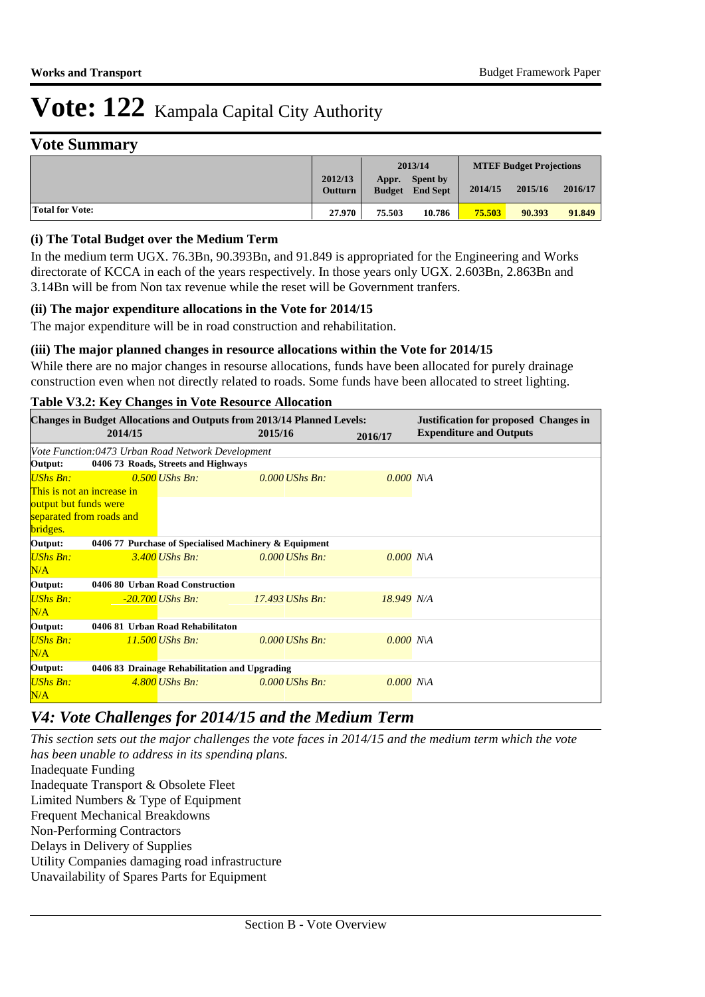### **Vote Summary**

|                        |                           |                  | 2013/14                                   |         | <b>MTEF Budget Projections</b> |         |
|------------------------|---------------------------|------------------|-------------------------------------------|---------|--------------------------------|---------|
|                        | 2012/13<br><b>Outturn</b> | Appr.            | <b>Spent by</b><br><b>Budget</b> End Sept | 2014/15 | 2015/16                        | 2016/17 |
| <b>Total for Vote:</b> | 27.970                    | 75.503<br>10.786 |                                           | 75.503  | 90.393                         | 91.849  |

#### **(i) The Total Budget over the Medium Term**

In the medium term UGX. 76.3Bn, 90.393Bn, and 91.849 is appropriated for the Engineering and Works directorate of KCCA in each of the years respectively. In those years only UGX. 2.603Bn, 2.863Bn and 3.14Bn will be from Non tax revenue while the reset will be Government tranfers.

#### **(ii) The major expenditure allocations in the Vote for 2014/15**

The major expenditure will be in road construction and rehabilitation.

#### **(iii) The major planned changes in resource allocations within the Vote for 2014/15**

While there are no major changes in resourse allocations, funds have been allocated for purely drainage construction even when not directly related to roads. Some funds have been allocated to street lighting.

|                                                                  |                                               | Tuble velocity enumers in voic resource rinocumum |                                                                                          |             |                                                                                |  |  |  |  |
|------------------------------------------------------------------|-----------------------------------------------|---------------------------------------------------|------------------------------------------------------------------------------------------|-------------|--------------------------------------------------------------------------------|--|--|--|--|
|                                                                  | 2014/15                                       |                                                   | <b>Changes in Budget Allocations and Outputs from 2013/14 Planned Levels:</b><br>2015/16 | 2016/17     | <b>Justification for proposed Changes in</b><br><b>Expenditure and Outputs</b> |  |  |  |  |
| Vote Function:0473 Urban Road Network Development                |                                               |                                                   |                                                                                          |             |                                                                                |  |  |  |  |
| Output:                                                          |                                               | 0406 73 Roads, Streets and Highways               |                                                                                          |             |                                                                                |  |  |  |  |
| <b>UShs Bn:</b>                                                  |                                               | $0.500$ UShs Bn:                                  | $0.000$ UShs Bn:                                                                         | $0.000$ N\A |                                                                                |  |  |  |  |
| This is not an increase in                                       |                                               |                                                   |                                                                                          |             |                                                                                |  |  |  |  |
| output but funds were                                            |                                               |                                                   |                                                                                          |             |                                                                                |  |  |  |  |
| separated from roads and                                         |                                               |                                                   |                                                                                          |             |                                                                                |  |  |  |  |
| bridges.                                                         |                                               |                                                   |                                                                                          |             |                                                                                |  |  |  |  |
| Output:<br>0406 77 Purchase of Specialised Machinery & Equipment |                                               |                                                   |                                                                                          |             |                                                                                |  |  |  |  |
| UShs Bn:                                                         |                                               | $3.400$ UShs Bn:                                  | $0.000$ UShs Bn:                                                                         | $0.000$ NA  |                                                                                |  |  |  |  |
| N/A                                                              |                                               |                                                   |                                                                                          |             |                                                                                |  |  |  |  |
| Output:                                                          |                                               | 0406 80 Urban Road Construction                   |                                                                                          |             |                                                                                |  |  |  |  |
| <b>UShs Bn:</b>                                                  |                                               | $-20.700$ UShs Bn:                                | $17.493$ UShs Bn:                                                                        | 18.949 N/A  |                                                                                |  |  |  |  |
| N/A                                                              |                                               |                                                   |                                                                                          |             |                                                                                |  |  |  |  |
| Output:                                                          |                                               | 0406 81 Urban Road Rehabilitaton                  |                                                                                          |             |                                                                                |  |  |  |  |
| UShs Bn:                                                         |                                               | 11.500 UShs Bn:                                   | $0.000$ UShs Bn:                                                                         | $0.000$ N\A |                                                                                |  |  |  |  |
| N/A                                                              |                                               |                                                   |                                                                                          |             |                                                                                |  |  |  |  |
| Output:                                                          | 0406 83 Drainage Rehabilitation and Upgrading |                                                   |                                                                                          |             |                                                                                |  |  |  |  |
| UShs Bn:                                                         |                                               | $4,800$ UShs Bn:                                  | $0.000$ UShs Bn:                                                                         | $0.000$ N\A |                                                                                |  |  |  |  |
| N/A                                                              |                                               |                                                   |                                                                                          |             |                                                                                |  |  |  |  |

### **Table V3.2: Key Changes in Vote Resource Allocation**

### *V4: Vote Challenges for 2014/15 and the Medium Term*

*This section sets out the major challenges the vote faces in 2014/15 and the medium term which the vote has been unable to address in its spending plans.*

Inadequate Funding Inadequate Transport & Obsolete Fleet Limited Numbers & Type of Equipment Frequent Mechanical Breakdowns Non-Performing Contractors Delays in Delivery of Supplies Utility Companies damaging road infrastructure Unavailability of Spares Parts for Equipment